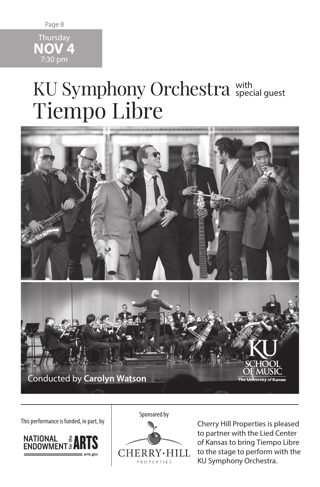

# KU Symphony Orchestra speci Tiempo Libre special guest







to partner with the Lied Center of Kansas to bring Tiempo Libre to the stage to perform with the KU Symphony Orchestra.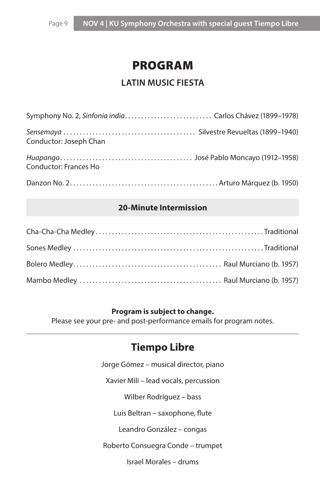## PROGRAM

## **LATIN MUSIC FIESTA**

| Conductor: Joseph Chan |  |
|------------------------|--|
| Conductor: Frances Ho  |  |
|                        |  |

## **20-Minute Intermission**

#### **Program is subject to change.**

Please see your pre- and post-performance emails for program notes.

## **Tiempo Libre**

Jorge Gómez – musical director, piano

Xavier Mili – lead vocals, percussion

Wilber Rodriguez – bass

Luis Beltran – saxophone, flute

Leandro González – congas

Roberto Consuegra Conde – trumpet

Israel Morales – drums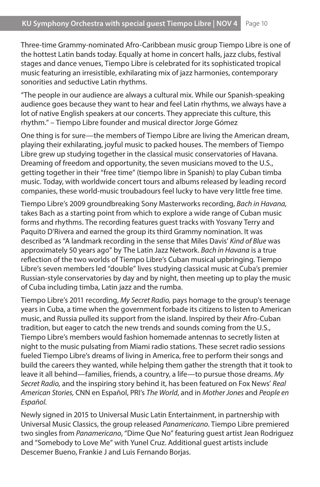Three-time Grammy-nominated Afro-Caribbean music group Tiempo Libre is one of the hottest Latin bands today. Equally at home in concert halls, jazz clubs, festival stages and dance venues, Tiempo Libre is celebrated for its sophisticated tropical music featuring an irresistible, exhilarating mix of jazz harmonies, contemporary sonorities and seductive Latin rhythms.

"The people in our audience are always a cultural mix. While our Spanish-speaking audience goes because they want to hear and feel Latin rhythms, we always have a lot of native English speakers at our concerts. They appreciate this culture, this rhythm." – Tiempo Libre founder and musical director Jorge Gómez

One thing is for sure—the members of Tiempo Libre are living the American dream, playing their exhilarating, joyful music to packed houses. The members of Tiempo Libre grew up studying together in the classical music conservatories of Havana. Dreaming of freedom and opportunity, the seven musicians moved to the U.S., getting together in their "free time" (tiempo libre in Spanish) to play Cuban timba music. Today, with worldwide concert tours and albums released by leading record companies, these world-music troubadours feel lucky to have very little free time.

Tiempo Libre's 2009 groundbreaking Sony Masterworks recording, *Bach in Havana,*  takes Bach as a starting point from which to explore a wide range of Cuban music forms and rhythms. The recording features guest tracks with Yosvany Terry and Paquito D'Rivera and earned the group its third Grammy nomination. It was described as "A landmark recording in the sense that Miles Davis' *Kind of Blue* was approximately 50 years ago" by The Latin Jazz Network. *Bach in Havana* is a true reflection of the two worlds of Tiempo Libre's Cuban musical upbringing. Tiempo Libre's seven members led "double" lives studying classical music at Cuba's premier Russian-style conservatories by day and by night, then meeting up to play the music of Cuba including timba, Latin jazz and the rumba.

Tiempo Libre's 2011 recording, *My Secret Radio,* pays homage to the group's teenage years in Cuba, a time when the government forbade its citizens to listen to American music, and Russia pulled its support from the island. Inspired by their Afro-Cuban tradition, but eager to catch the new trends and sounds coming from the U.S., Tiempo Libre's members would fashion homemade antennas to secretly listen at night to the music pulsating from Miami radio stations. These secret radio sessions fueled Tiempo Libre's dreams of living in America, free to perform their songs and build the careers they wanted, while helping them gather the strength that it took to leave it all behind—families, friends, a country, a life—to pursue those dreams. *My Secret Radio,* and the inspiring story behind it, has been featured on Fox News' *Real American Stories,* CNN en Español, PRI's *The World*, and in *Mother Jones* and *People en Español.*

Newly signed in 2015 to Universal Music Latin Entertainment, in partnership with Universal Music Classics, the group released *Panamericano*. Tiempo Libre premiered two singles from *Panamericano*, "Dime Que No" featuring guest artist Jean Rodriguez and "Somebody to Love Me" with Yunel Cruz. Additional guest artists include Descemer Bueno, Frankie J and Luis Fernando Borjas.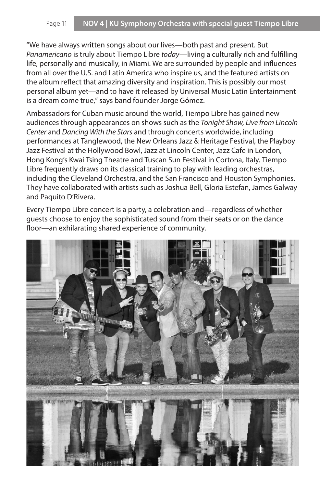"We have always written songs about our lives—both past and present. But *Panamericano* is truly about Tiempo Libre *today*—living a culturally rich and fulfilling life, personally and musically, in Miami. We are surrounded by people and influences from all over the U.S. and Latin America who inspire us, and the featured artists on the album reflect that amazing diversity and inspiration. This is possibly our most personal album yet—and to have it released by Universal Music Latin Entertainment is a dream come true," says band founder Jorge Gómez.

Ambassadors for Cuban music around the world, Tiempo Libre has gained new audiences through appearances on shows such as the *Tonight Show, Live from Lincoln Center* and *Dancing With the Stars* and through concerts worldwide, including performances at Tanglewood, the New Orleans Jazz & Heritage Festival, the Playboy Jazz Festival at the Hollywood Bowl, Jazz at Lincoln Center, Jazz Cafe in London, Hong Kong's Kwai Tsing Theatre and Tuscan Sun Festival in Cortona, Italy. Tiempo Libre frequently draws on its classical training to play with leading orchestras, including the Cleveland Orchestra, and the San Francisco and Houston Symphonies. They have collaborated with artists such as Joshua Bell, Gloria Estefan, James Galway and Paquito D'Rivera.

Every Tiempo Libre concert is a party, a celebration and—regardless of whether guests choose to enjoy the sophisticated sound from their seats or on the dance floor—an exhilarating shared experience of community.

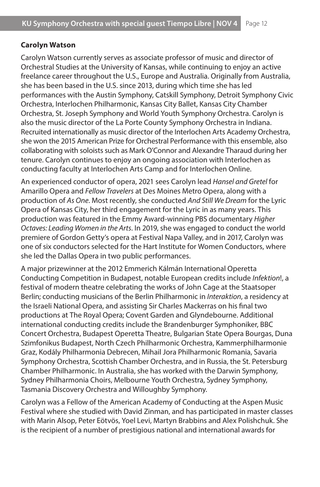#### **Carolyn Watson**

Carolyn Watson currently serves as associate professor of music and director of Orchestral Studies at the University of Kansas, while continuing to enjoy an active freelance career throughout the U.S., Europe and Australia. Originally from Australia, she has been based in the U.S. since 2013, during which time she has led performances with the Austin Symphony, Catskill Symphony, Detroit Symphony Civic Orchestra, Interlochen Philharmonic, Kansas City Ballet, Kansas City Chamber Orchestra, St. Joseph Symphony and World Youth Symphony Orchestra. Carolyn is also the music director of the La Porte County Symphony Orchestra in Indiana. Recruited internationally as music director of the Interlochen Arts Academy Orchestra, she won the 2015 American Prize for Orchestral Performance with this ensemble, also collaborating with soloists such as Mark O'Connor and Alexandre Tharaud during her tenure. Carolyn continues to enjoy an ongoing association with Interlochen as conducting faculty at Interlochen Arts Camp and for Interlochen Online.

An experienced conductor of opera, 2021 sees Carolyn lead *Hansel and Gretel* for Amarillo Opera and *Fellow Travelers* at Des Moines Metro Opera, along with a production of *As One*. Most recently, she conducted *And Still We Dream* for the Lyric Opera of Kansas City, her third engagement for the Lyric in as many years. This production was featured in the Emmy Award-winning PBS documentary *Higher Octaves: Leading Women in the Arts*. In 2019, she was engaged to conduct the world premiere of Gordon Getty's opera at Festival Napa Valley, and in 2017, Carolyn was one of six conductors selected for the Hart Institute for Women Conductors, where she led the Dallas Opera in two public performances.

A major prizewinner at the 2012 Emmerich Kálmán International Operetta Conducting Competition in Budapest, notable European credits include *Infektion*!, a festival of modern theatre celebrating the works of John Cage at the Staatsoper Berlin; conducting musicians of the Berlin Philharmonic in *Interaktion*, a residency at the Israeli National Opera, and assisting Sir Charles Mackerras on his final two productions at The Royal Opera; Covent Garden and Glyndebourne. Additional international conducting credits include the Brandenburger Symphoniker, BBC Concert Orchestra, Budapest Operetta Theatre, Bulgarian State Opera Bourgas, Duna Szimfonikus Budapest, North Czech Philharmonic Orchestra, Kammerphilharmonie Graz, Kodály Philharmonia Debrecen, Mihail Jora Philharmonic Romania, Savaria Symphony Orchestra, Scottish Chamber Orchestra, and in Russia, the St. Petersburg Chamber Philharmonic. In Australia, she has worked with the Darwin Symphony, Sydney Philharmonia Choirs, Melbourne Youth Orchestra, Sydney Symphony, Tasmania Discovery Orchestra and Willoughby Symphony.

Carolyn was a Fellow of the American Academy of Conducting at the Aspen Music Festival where she studied with David Zinman, and has participated in master classes with Marin Alsop, Peter Eötvös, Yoel Levi, Martyn Brabbins and Alex Polishchuk. She is the recipient of a number of prestigious national and international awards for